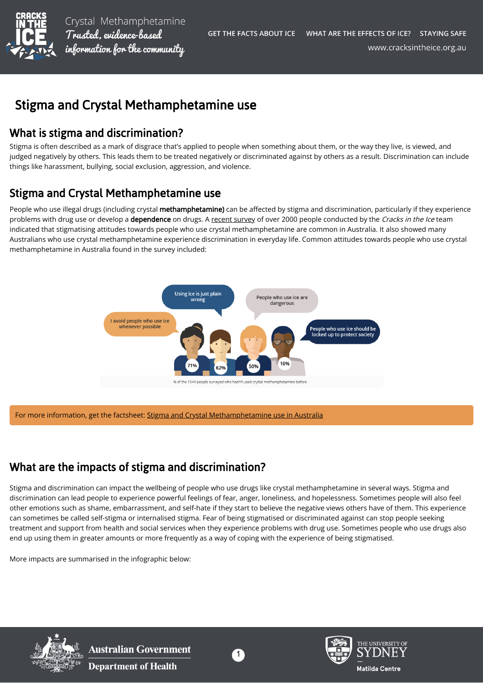

Crystal Methamphetamine Trusted, evidence-based information for the community

# Stigma and Crystal Methamphetamine use

## What is stigma and discrimination?

Stigma is often described as a mark of disgrace that's applied to people when something about them, or the way they live, is viewed, and judged negatively by others. This leads them to be treated negatively or discriminated against by others as a result. Discrimination can include things like harassment, bullying, social exclusion, aggression, and violence.

## Stigma and Crystal Methamphetamine use

People who use illegal drugs (including crystal methamphetamine) can be affected by stigma and discrimination, particularly if they experience problems with drug use or develop a dependence on drugs. A [recent survey](https://cracksintheice.org.au/pdf/cracks-evaluation-summary-report.pdf) of over 2000 people conducted by the Cracks in the Ice team indicated that stigmatising attitudes towards people who use crystal methamphetamine are common in Australia. It also showed many Australians who use crystal methamphetamine experience discrimination in everyday life. Common attitudes towards people who use crystal methamphetamine in Australia found in the survey included:



For more information, get the factsheet: [Stigma and Crystal Methamphetamine use in Australia](https://cracksintheice.org.au/document/library/stigma-and-crystal-methamphetamine-ice-use-in-australia.pdf)

## What are the impacts of stigma and discrimination?

Stigma and discrimination can impact the wellbeing of people who use drugs like crystal methamphetamine in several ways. Stigma and discrimination can lead people to experience powerful feelings of fear, anger, loneliness, and hopelessness. Sometimes people will also feel other emotions such as shame, embarrassment, and self-hate if they start to believe the negative views others have of them. This experience can sometimes be called self-stigma or internalised stigma. Fear of being stigmatised or discriminated against can stop people seeking treatment and support from health and social services when they experience problems with drug use. Sometimes people who use drugs also end up using them in greater amounts or more frequently as a way of coping with the experience of being stigmatised.

More impacts are summarised in the infographic below:



**Australian Government Department of Health** 



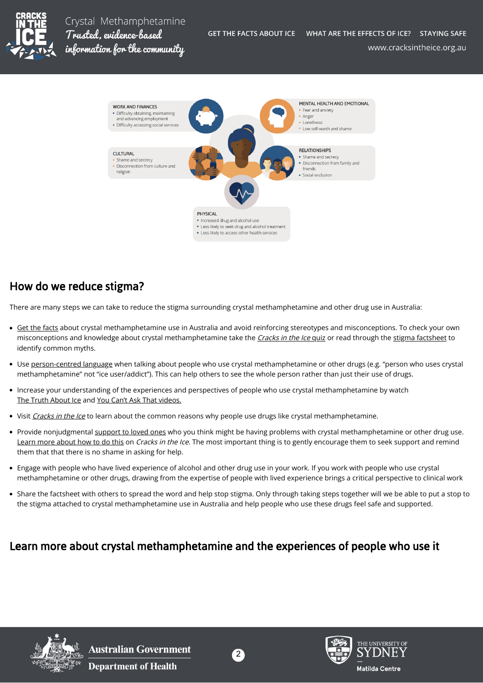

Crystal Methamphetamine Trusted, evidence-based information for the community



## How do we reduce stigma?

There are many steps we can take to reduce the stigma surrounding crystal methamphetamine and other drug use in Australia:

- [Get the facts](https://cracksintheice.org.au/get-the-facts) about crystal methamphetamine use in Australia and avoid reinforcing stereotypes and misconceptions. To check your own misconceptions and knowledge about crystal methamphetamine take the [Cracks in the Ice](https://cracksintheice.org.au/public/uvhiwcud47/0/) quiz or read through the [stigma factsheet](https://cracksintheice.org.au/document/library/stigma-and-crystal-methamphetamine-ice-use-in-australia.pdf) to identify common myths.
- Use [person-centred language](https://cracksintheice.org.au/health-professionals/quick-tips-for-managing-and-working-with-clients/language-matters) when talking about people who use crystal methamphetamine or other drugs (e.g. "person who uses crystal methamphetamine" not "ice user/addict"). This can help others to see the whole person rather than just their use of drugs.
- Increase your understanding of the experiences and perspectives of people who use crystal methamphetamine by watch [The Truth About Ice](https://www.sbs.com.au/topics/voices/culture/article/2017/12/05/busting-methamphetamine-myths-truth-about-ice) and [You Can't Ask That videos.](https://iview.abc.net.au/show/you-can-t-ask-that/series/2/video/LE1617H007S00)
- Visit [Cracks in the Ice](http://www.cracksintheice.org.au/)</u> to learn about the common reasons why people use drugs like crystal methamphetamine.
- Provide nonjudgmental [support to loved ones](https://cracksintheice.org.au/community-toolkit/webinars/how-to-support-families-and-friends-with-a-loved-one-using-methamphetamine) who you think might be having problems with crystal methamphetamine or other drug use. [Learn more about how to do this](https://cracksintheice.org.au/families-friends/starting-the-conversation) on *Cracks in the Ice*. The most important thing is to gently encourage them to seek support and remind them that that there is no shame in asking for help.
- Engage with people who have lived experience of alcohol and other drug use in your work. If you work with people who use crystal methamphetamine or other drugs, drawing from the expertise of people with lived experience brings a critical perspective to clinical work
- Share the factsheet with others to spread the word and help stop stigma. Only through taking steps together will we be able to put a stop to the stigma attached to crystal methamphetamine use in Australia and help people who use these drugs feel safe and supported.

#### Learn more about crystal methamphetamine and the experiences of people who use it





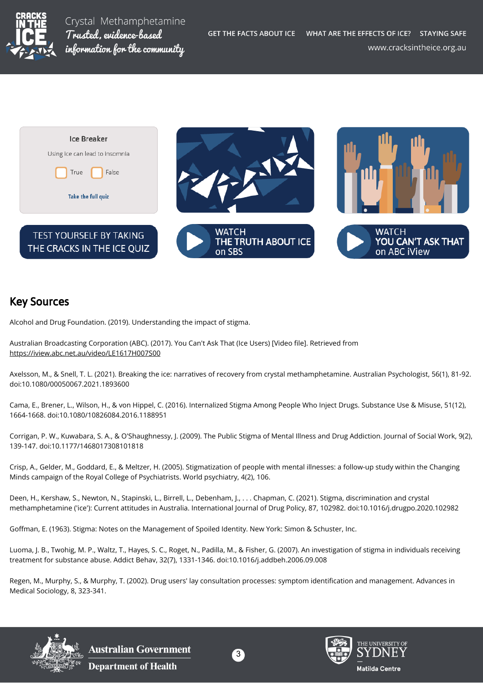

Crystal Methamphetamine Trusted, evidence-based information for the community



#### Key Sources

Alcohol and Drug Foundation. (2019). Understanding the impact of stigma.

Australian Broadcasting Corporation (ABC). (2017). You Can't Ask That (Ice Users) [Video file]. Retrieved from <https://iview.abc.net.au/video/LE1617H007S00>

Axelsson, M., & Snell, T. L. (2021). Breaking the ice: narratives of recovery from crystal methamphetamine. Australian Psychologist, 56(1), 81-92. doi:10.1080/00050067.2021.1893600

Cama, E., Brener, L., Wilson, H., & von Hippel, C. (2016). Internalized Stigma Among People Who Inject Drugs. Substance Use & Misuse, 51(12), 1664-1668. doi:10.1080/10826084.2016.1188951

Corrigan, P. W., Kuwabara, S. A., & O'Shaughnessy, J. (2009). The Public Stigma of Mental Illness and Drug Addiction. Journal of Social Work, 9(2), 139-147. doi:10.1177/1468017308101818

Crisp, A., Gelder, M., Goddard, E., & Meltzer, H. (2005). Stigmatization of people with mental illnesses: a follow-up study within the Changing Minds campaign of the Royal College of Psychiatrists. World psychiatry, 4(2), 106.

Deen, H., Kershaw, S., Newton, N., Stapinski, L., Birrell, L., Debenham, J., . . . Chapman, C. (2021). Stigma, discrimination and crystal methamphetamine ('ice'): Current attitudes in Australia. International Journal of Drug Policy, 87, 102982. doi:10.1016/j.drugpo.2020.102982

Goffman, E. (1963). Stigma: Notes on the Management of Spoiled Identity. New York: Simon & Schuster, Inc.

Luoma, J. B., Twohig, M. P., Waltz, T., Hayes, S. C., Roget, N., Padilla, M., & Fisher, G. (2007). An investigation of stigma in individuals receiving treatment for substance abuse. Addict Behav, 32(7), 1331-1346. doi:10.1016/j.addbeh.2006.09.008

Regen, M., Murphy, S., & Murphy, T. (2002). Drug users' lay consultation processes: symptom identification and management. Advances in Medical Sociology, 8, 323-341.



**Australian Government Department of Health**